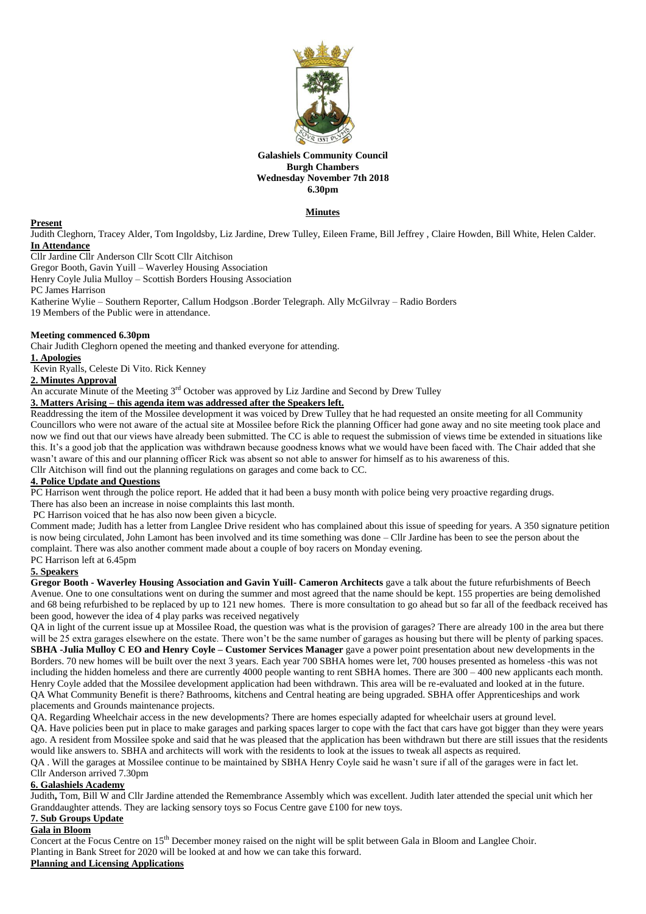

## **Galashiels Community Council Burgh Chambers Wednesday November 7th 2018 6.30pm**

# **Minutes**

# **Present**

Judith Cleghorn, Tracey Alder, Tom Ingoldsby, Liz Jardine, Drew Tulley, Eileen Frame, Bill Jeffrey , Claire Howden, Bill White, Helen Calder. **In Attendance**

Cllr Jardine Cllr Anderson Cllr Scott Cllr Aitchison

Gregor Booth, Gavin Yuill – Waverley Housing Association

Henry Coyle Julia Mulloy – Scottish Borders Housing Association

PC James Harrison

Katherine Wylie – Southern Reporter, Callum Hodgson .Border Telegraph. Ally McGilvray – Radio Borders

19 Members of the Public were in attendance.

## **Meeting commenced 6.30pm**

Chair Judith Cleghorn opened the meeting and thanked everyone for attending.

## **1. Apologies**

Kevin Ryalls, Celeste Di Vito. Rick Kenney

## **2. Minutes Approval**

An accurate Minute of the Meeting 3<sup>rd</sup> October was approved by Liz Jardine and Second by Drew Tulley

**3. Matters Arising – this agenda item was addressed after the Speakers left.** 

Readdressing the item of the Mossilee development it was voiced by Drew Tulley that he had requested an onsite meeting for all Community Councillors who were not aware of the actual site at Mossilee before Rick the planning Officer had gone away and no site meeting took place and now we find out that our views have already been submitted. The CC is able to request the submission of views time be extended in situations like this. It's a good job that the application was withdrawn because goodness knows what we would have been faced with. The Chair added that she wasn't aware of this and our planning officer Rick was absent so not able to answer for himself as to his awareness of this. Cllr Aitchison will find out the planning regulations on garages and come back to CC.

# **4. Police Update and Questions**

PC Harrison went through the police report. He added that it had been a busy month with police being very proactive regarding drugs.

There has also been an increase in noise complaints this last month.

PC Harrison voiced that he has also now been given a bicycle.

Comment made; Judith has a letter from Langlee Drive resident who has complained about this issue of speeding for years. A 350 signature petition is now being circulated, John Lamont has been involved and its time something was done – Cllr Jardine has been to see the person about the complaint. There was also another comment made about a couple of boy racers on Monday evening. PC Harrison left at 6.45pm

#### **5. Speakers**

**Gregor Booth - Waverley Housing Association and Gavin Yuill- Cameron Architects** gave a talk about the future refurbishments of Beech Avenue. One to one consultations went on during the summer and most agreed that the name should be kept. 155 properties are being demolished and 68 being refurbished to be replaced by up to 121 new homes. There is more consultation to go ahead but so far all of the feedback received has been good, however the idea of 4 play parks was received negatively

QA in light of the current issue up at Mossilee Road, the question was what is the provision of garages? There are already 100 in the area but there will be 25 extra garages elsewhere on the estate. There won't be the same number of garages as housing but there will be plenty of parking spaces. **SBHA -Julia Mulloy C EO and Henry Coyle – Customer Services Manager** gave a power point presentation about new developments in the Borders. 70 new homes will be built over the next 3 years. Each year 700 SBHA homes were let, 700 houses presented as homeless -this was not including the hidden homeless and there are currently 4000 people wanting to rent SBHA homes. There are 300 – 400 new applicants each month. Henry Coyle added that the Mossilee development application had been withdrawn. This area will be re-evaluated and looked at in the future. QA What Community Benefit is there? Bathrooms, kitchens and Central heating are being upgraded. SBHA offer Apprenticeships and work placements and Grounds maintenance projects.

QA. Regarding Wheelchair access in the new developments? There are homes especially adapted for wheelchair users at ground level.

QA. Have policies been put in place to make garages and parking spaces larger to cope with the fact that cars have got bigger than they were years ago. A resident from Mossilee spoke and said that he was pleased that the application has been withdrawn but there are still issues that the residents would like answers to. SBHA and architects will work with the residents to look at the issues to tweak all aspects as required.

QA . Will the garages at Mossilee continue to be maintained by SBHA Henry Coyle said he wasn't sure if all of the garages were in fact let. Cllr Anderson arrived 7.30pm

# **6. Galashiels Academy**

Judith**,** Tom, Bill W and Cllr Jardine attended the Remembrance Assembly which was excellent. Judith later attended the special unit which her Granddaughter attends. They are lacking sensory toys so Focus Centre gave £100 for new toys.

# **7. Sub Groups Update**

# **Gala in Bloom**

Concert at the Focus Centre on 15th December money raised on the night will be split between Gala in Bloom and Langlee Choir. Planting in Bank Street for 2020 will be looked at and how we can take this forward.

#### **Planning and Licensing Applications**